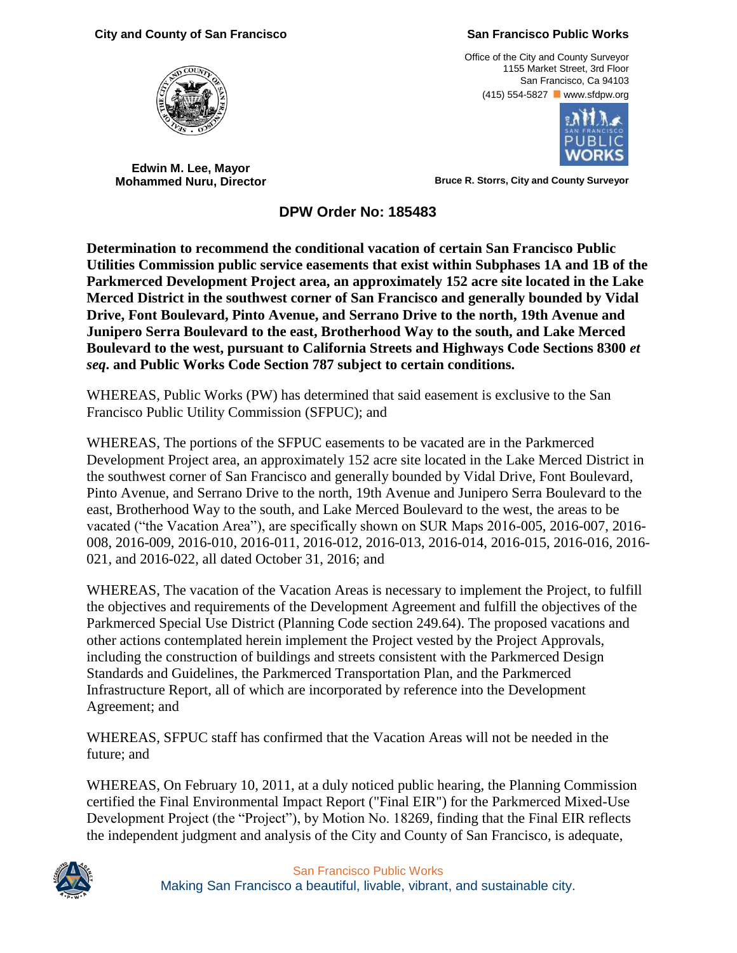## **City and County of San Francisco San Francisco Public Works**

**Edwin M. Lee, Mayor**

Office of the City and County Surveyor 1155 Market Street, 3rd Floor San Francisco, Ca 94103 (415) 554-5827 www.sfdpw.org



**Mohammed Nuru, Director Bruce R. Storrs, City and County Surveyor** 

**DPW Order No: 185483**

**Determination to recommend the conditional vacation of certain San Francisco Public Utilities Commission public service easements that exist within Subphases 1A and 1B of the Parkmerced Development Project area, an approximately 152 acre site located in the Lake Merced District in the southwest corner of San Francisco and generally bounded by Vidal Drive, Font Boulevard, Pinto Avenue, and Serrano Drive to the north, 19th Avenue and Junipero Serra Boulevard to the east, Brotherhood Way to the south, and Lake Merced Boulevard to the west, pursuant to California Streets and Highways Code Sections 8300** *et seq***. and Public Works Code Section 787 subject to certain conditions.**

WHEREAS, Public Works (PW) has determined that said easement is exclusive to the San Francisco Public Utility Commission (SFPUC); and

WHEREAS, The portions of the SFPUC easements to be vacated are in the Parkmerced Development Project area, an approximately 152 acre site located in the Lake Merced District in the southwest corner of San Francisco and generally bounded by Vidal Drive, Font Boulevard, Pinto Avenue, and Serrano Drive to the north, 19th Avenue and Junipero Serra Boulevard to the east, Brotherhood Way to the south, and Lake Merced Boulevard to the west, the areas to be vacated ("the Vacation Area"), are specifically shown on SUR Maps 2016-005, 2016-007, 2016- 008, 2016-009, 2016-010, 2016-011, 2016-012, 2016-013, 2016-014, 2016-015, 2016-016, 2016- 021, and 2016-022, all dated October 31, 2016; and

WHEREAS, The vacation of the Vacation Areas is necessary to implement the Project, to fulfill the objectives and requirements of the Development Agreement and fulfill the objectives of the Parkmerced Special Use District (Planning Code section 249.64). The proposed vacations and other actions contemplated herein implement the Project vested by the Project Approvals, including the construction of buildings and streets consistent with the Parkmerced Design Standards and Guidelines, the Parkmerced Transportation Plan, and the Parkmerced Infrastructure Report, all of which are incorporated by reference into the Development Agreement; and

WHEREAS, SFPUC staff has confirmed that the Vacation Areas will not be needed in the future; and

WHEREAS, On February 10, 2011, at a duly noticed public hearing, the Planning Commission certified the Final Environmental Impact Report ("Final EIR") for the Parkmerced Mixed-Use Development Project (the "Project"), by Motion No. 18269, finding that the Final EIR reflects the independent judgment and analysis of the City and County of San Francisco, is adequate,



San Francisco Public Works Making San Francisco a beautiful, livable, vibrant, and sustainable city.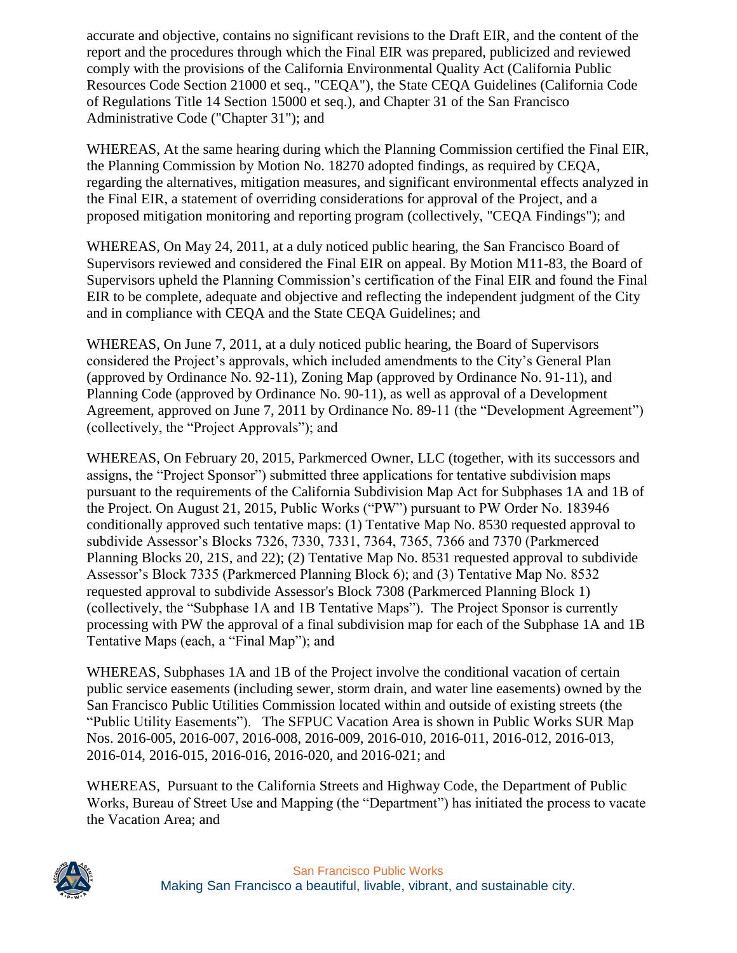accurate and objective, contains no significant revisions to the Draft EIR, and the content of the report and the procedures through which the Final EIR was prepared, publicized and reviewed comply with the provisions of the California Environmental Quality Act (California Public Resources Code Section 21000 et seq., "CEQA"), the State CEQA Guidelines (California Code of Regulations Title 14 Section 15000 et seq.), and Chapter 31 of the San Francisco Administrative Code ("Chapter 31"); and

WHEREAS, At the same hearing during which the Planning Commission certified the Final EIR, the Planning Commission by Motion No. 18270 adopted findings, as required by CEQA, regarding the alternatives, mitigation measures, and significant environmental effects analyzed in the Final EIR, a statement of overriding considerations for approval of the Project, and a proposed mitigation monitoring and reporting program (collectively, "CEQA Findings"); and

WHEREAS, On May 24, 2011, at a duly noticed public hearing, the San Francisco Board of Supervisors reviewed and considered the Final EIR on appeal. By Motion M11-83, the Board of Supervisors upheld the Planning Commission's certification of the Final EIR and found the Final EIR to be complete, adequate and objective and reflecting the independent judgment of the City and in compliance with CEQA and the State CEQA Guidelines; and

WHEREAS, On June 7, 2011, at a duly noticed public hearing, the Board of Supervisors considered the Project's approvals, which included amendments to the City's General Plan (approved by Ordinance No. 92-11), Zoning Map (approved by Ordinance No. 91-11), and Planning Code (approved by Ordinance No. 90-11), as well as approval of a Development Agreement, approved on June 7, 2011 by Ordinance No. 89-11 (the "Development Agreement") (collectively, the "Project Approvals"); and

WHEREAS, On February 20, 2015, Parkmerced Owner, LLC (together, with its successors and assigns, the "Project Sponsor") submitted three applications for tentative subdivision maps pursuant to the requirements of the California Subdivision Map Act for Subphases 1A and 1B of the Project. On August 21, 2015, Public Works ("PW") pursuant to PW Order No. 183946 conditionally approved such tentative maps: (1) Tentative Map No. 8530 requested approval to subdivide Assessor's Blocks 7326, 7330, 7331, 7364, 7365, 7366 and 7370 (Parkmerced Planning Blocks 20, 21S, and 22); (2) Tentative Map No. 8531 requested approval to subdivide Assessor's Block 7335 (Parkmerced Planning Block 6); and (3) Tentative Map No. 8532 requested approval to subdivide Assessor's Block 7308 (Parkmerced Planning Block 1) (collectively, the "Subphase 1A and 1B Tentative Maps"). The Project Sponsor is currently processing with PW the approval of a final subdivision map for each of the Subphase 1A and 1B Tentative Maps (each, a "Final Map"); and

WHEREAS, Subphases 1A and 1B of the Project involve the conditional vacation of certain public service easements (including sewer, storm drain, and water line easements) owned by the San Francisco Public Utilities Commission located within and outside of existing streets (the "Public Utility Easements"). The SFPUC Vacation Area is shown in Public Works SUR Map Nos. 2016-005, 2016-007, 2016-008, 2016-009, 2016-010, 2016-011, 2016-012, 2016-013, 2016-014, 2016-015, 2016-016, 2016-020, and 2016-021; and

WHEREAS, Pursuant to the California Streets and Highway Code, the Department of Public Works, Bureau of Street Use and Mapping (the "Department") has initiated the process to vacate the Vacation Area; and

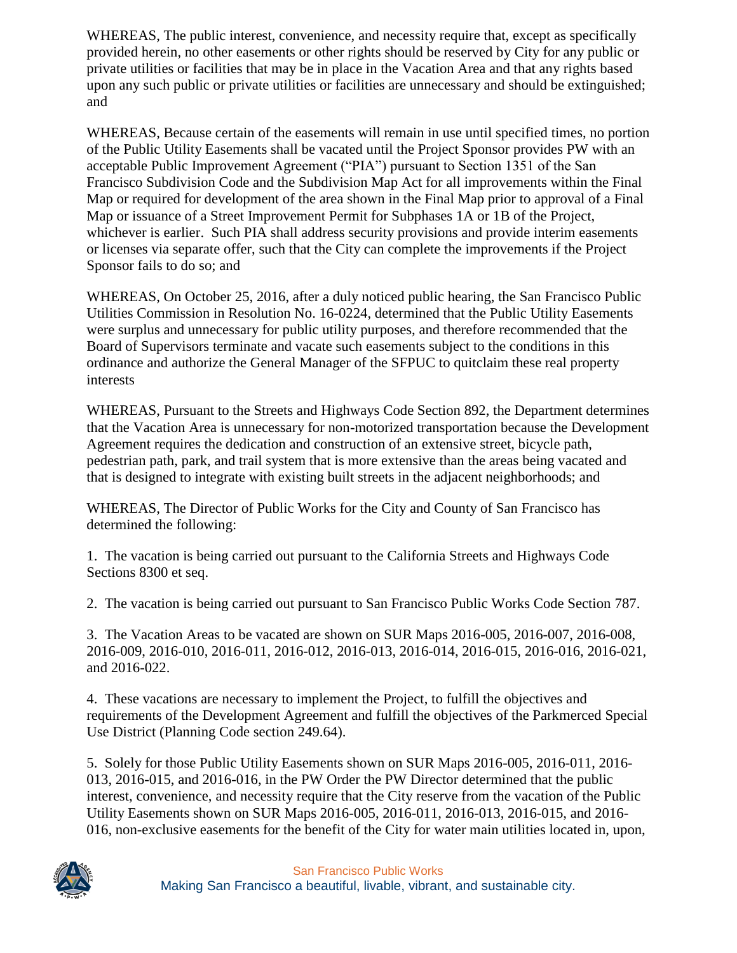WHEREAS, The public interest, convenience, and necessity require that, except as specifically provided herein, no other easements or other rights should be reserved by City for any public or private utilities or facilities that may be in place in the Vacation Area and that any rights based upon any such public or private utilities or facilities are unnecessary and should be extinguished; and

WHEREAS, Because certain of the easements will remain in use until specified times, no portion of the Public Utility Easements shall be vacated until the Project Sponsor provides PW with an acceptable Public Improvement Agreement ("PIA") pursuant to Section 1351 of the San Francisco Subdivision Code and the Subdivision Map Act for all improvements within the Final Map or required for development of the area shown in the Final Map prior to approval of a Final Map or issuance of a Street Improvement Permit for Subphases 1A or 1B of the Project, whichever is earlier. Such PIA shall address security provisions and provide interim easements or licenses via separate offer, such that the City can complete the improvements if the Project Sponsor fails to do so; and

WHEREAS, On October 25, 2016, after a duly noticed public hearing, the San Francisco Public Utilities Commission in Resolution No. 16-0224, determined that the Public Utility Easements were surplus and unnecessary for public utility purposes, and therefore recommended that the Board of Supervisors terminate and vacate such easements subject to the conditions in this ordinance and authorize the General Manager of the SFPUC to quitclaim these real property interests

WHEREAS, Pursuant to the Streets and Highways Code Section 892, the Department determines that the Vacation Area is unnecessary for non-motorized transportation because the Development Agreement requires the dedication and construction of an extensive street, bicycle path, pedestrian path, park, and trail system that is more extensive than the areas being vacated and that is designed to integrate with existing built streets in the adjacent neighborhoods; and

WHEREAS, The Director of Public Works for the City and County of San Francisco has determined the following:

1. The vacation is being carried out pursuant to the California Streets and Highways Code Sections 8300 et seq.

2. The vacation is being carried out pursuant to San Francisco Public Works Code Section 787.

3. The Vacation Areas to be vacated are shown on SUR Maps 2016-005, 2016-007, 2016-008, 2016-009, 2016-010, 2016-011, 2016-012, 2016-013, 2016-014, 2016-015, 2016-016, 2016-021, and 2016-022.

4. These vacations are necessary to implement the Project, to fulfill the objectives and requirements of the Development Agreement and fulfill the objectives of the Parkmerced Special Use District (Planning Code section 249.64).

5. Solely for those Public Utility Easements shown on SUR Maps 2016-005, 2016-011, 2016- 013, 2016-015, and 2016-016, in the PW Order the PW Director determined that the public interest, convenience, and necessity require that the City reserve from the vacation of the Public Utility Easements shown on SUR Maps 2016-005, 2016-011, 2016-013, 2016-015, and 2016- 016, non-exclusive easements for the benefit of the City for water main utilities located in, upon,